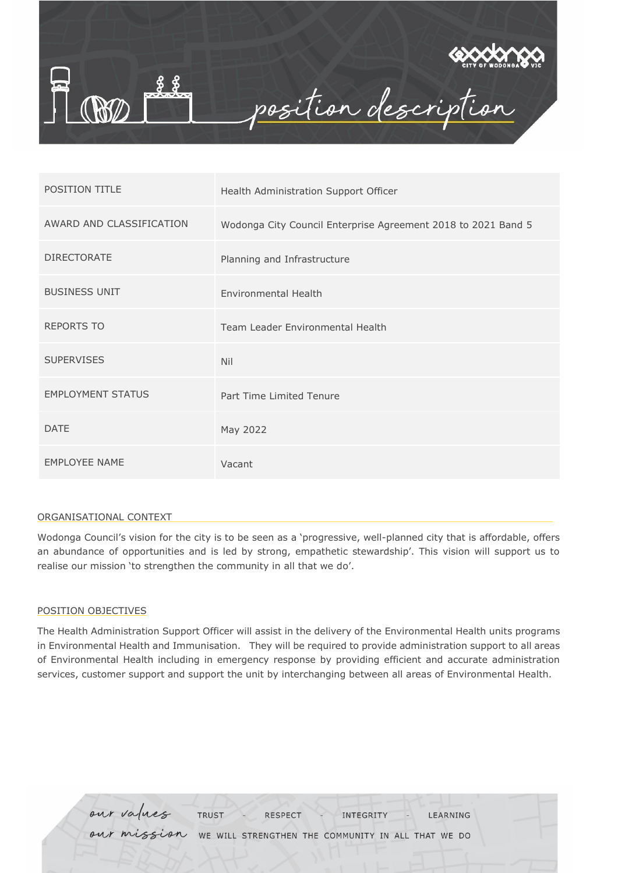

| <b>POSITION TITLE</b>    | Health Administration Support Officer                         |
|--------------------------|---------------------------------------------------------------|
| AWARD AND CLASSIFICATION | Wodonga City Council Enterprise Agreement 2018 to 2021 Band 5 |
| <b>DIRECTORATE</b>       | Planning and Infrastructure                                   |
| <b>BUSINESS UNIT</b>     | <b>Environmental Health</b>                                   |
| <b>REPORTS TO</b>        | Team Leader Environmental Health                              |
| <b>SUPERVISES</b>        | <b>Nil</b>                                                    |
| <b>EMPLOYMENT STATUS</b> | Part Time Limited Tenure                                      |
| <b>DATE</b>              | May 2022                                                      |
| <b>EMPLOYEE NAME</b>     | Vacant                                                        |

#### ORGANISATIONAL CONTEXT

Wodonga Council's vision for the city is to be seen as a 'progressive, well-planned city that is affordable, offers an abundance of opportunities and is led by strong, empathetic stewardship'. This vision will support us to realise our mission 'to strengthen the community in all that we do'.

#### POSITION OBJECTIVES

The Health Administration Support Officer will assist in the delivery of the Environmental Health units programs in Environmental Health and Immunisation. They will be required to provide administration support to all areas of Environmental Health including in emergency response by providing efficient and accurate administration services, customer support and support the unit by interchanging between all areas of Environmental Health.

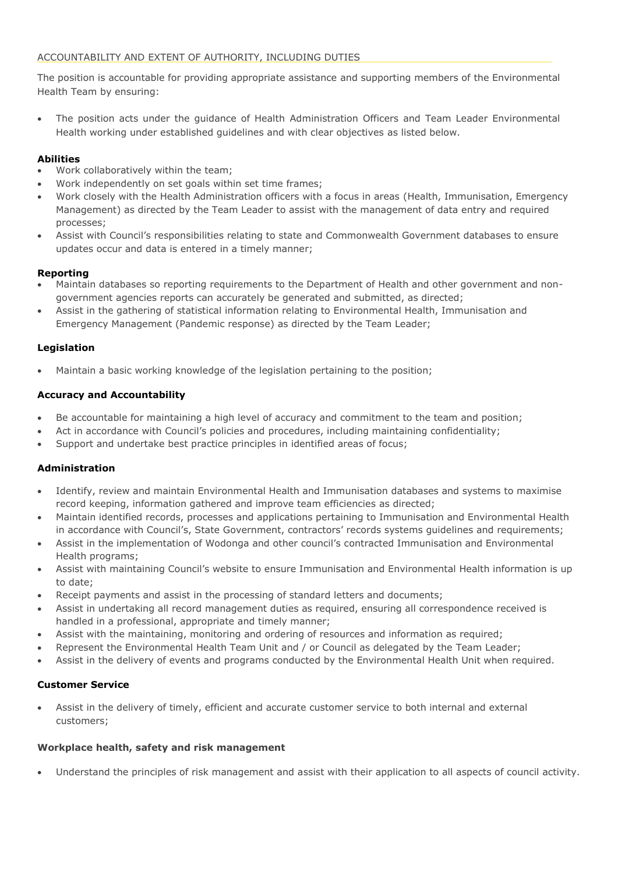## ACCOUNTABILITY AND EXTENT OF AUTHORITY, INCLUDING DUTIES

The position is accountable for providing appropriate assistance and supporting members of the Environmental Health Team by ensuring:

 The position acts under the guidance of Health Administration Officers and Team Leader Environmental Health working under established guidelines and with clear objectives as listed below.

# **Abilities**

- Work collaboratively within the team;
- Work independently on set goals within set time frames;
- Work closely with the Health Administration officers with a focus in areas (Health, Immunisation, Emergency Management) as directed by the Team Leader to assist with the management of data entry and required processes;
- Assist with Council's responsibilities relating to state and Commonwealth Government databases to ensure updates occur and data is entered in a timely manner;

## **Reporting**

- Maintain databases so reporting requirements to the Department of Health and other government and nongovernment agencies reports can accurately be generated and submitted, as directed;
- Assist in the gathering of statistical information relating to Environmental Health, Immunisation and Emergency Management (Pandemic response) as directed by the Team Leader;

## **Legislation**

Maintain a basic working knowledge of the legislation pertaining to the position;

## **Accuracy and Accountability**

- Be accountable for maintaining a high level of accuracy and commitment to the team and position;
- Act in accordance with Council's policies and procedures, including maintaining confidentiality;
- Support and undertake best practice principles in identified areas of focus;

## **Administration**

- Identify, review and maintain Environmental Health and Immunisation databases and systems to maximise record keeping, information gathered and improve team efficiencies as directed;
- Maintain identified records, processes and applications pertaining to Immunisation and Environmental Health in accordance with Council's, State Government, contractors' records systems guidelines and requirements;
- Assist in the implementation of Wodonga and other council's contracted Immunisation and Environmental Health programs;
- Assist with maintaining Council's website to ensure Immunisation and Environmental Health information is up to date;
- Receipt payments and assist in the processing of standard letters and documents;
- Assist in undertaking all record management duties as required, ensuring all correspondence received is handled in a professional, appropriate and timely manner;
- Assist with the maintaining, monitoring and ordering of resources and information as required;
- Represent the Environmental Health Team Unit and / or Council as delegated by the Team Leader;
- Assist in the delivery of events and programs conducted by the Environmental Health Unit when required.

## **Customer Service**

 Assist in the delivery of timely, efficient and accurate customer service to both internal and external customers;

## **Workplace health, safety and risk management**

Understand the principles of risk management and assist with their application to all aspects of council activity.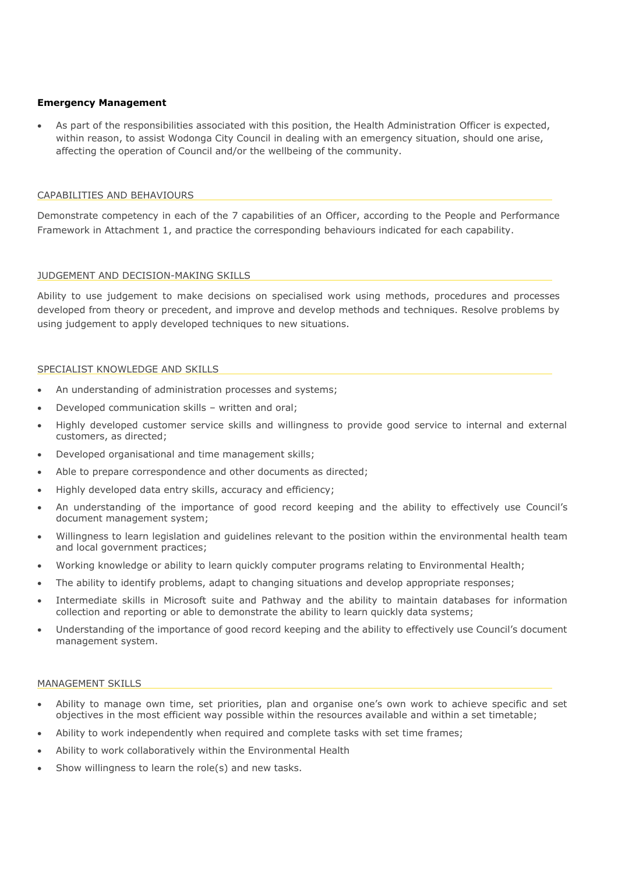#### **Emergency Management**

 As part of the responsibilities associated with this position, the Health Administration Officer is expected, within reason, to assist Wodonga City Council in dealing with an emergency situation, should one arise, affecting the operation of Council and/or the wellbeing of the community.

#### CAPABILITIES AND BEHAVIOURS

Demonstrate competency in each of the 7 capabilities of an Officer, according to the People and Performance Framework in Attachment 1, and practice the corresponding behaviours indicated for each capability.

## JUDGEMENT AND DECISION-MAKING SKILLS

Ability to use judgement to make decisions on specialised work using methods, procedures and processes developed from theory or precedent, and improve and develop methods and techniques. Resolve problems by using judgement to apply developed techniques to new situations.

#### SPECIALIST KNOWLEDGE AND SKILLS

- An understanding of administration processes and systems;
- Developed communication skills written and oral;
- Highly developed customer service skills and willingness to provide good service to internal and external customers, as directed;
- Developed organisational and time management skills;
- Able to prepare correspondence and other documents as directed;
- Highly developed data entry skills, accuracy and efficiency;
- An understanding of the importance of good record keeping and the ability to effectively use Council's document management system;
- Willingness to learn legislation and guidelines relevant to the position within the environmental health team and local government practices;
- Working knowledge or ability to learn quickly computer programs relating to Environmental Health;
- The ability to identify problems, adapt to changing situations and develop appropriate responses;
- Intermediate skills in Microsoft suite and Pathway and the ability to maintain databases for information collection and reporting or able to demonstrate the ability to learn quickly data systems;
- Understanding of the importance of good record keeping and the ability to effectively use Council's document management system.

#### MANAGEMENT SKILLS

- Ability to manage own time, set priorities, plan and organise one's own work to achieve specific and set objectives in the most efficient way possible within the resources available and within a set timetable;
- Ability to work independently when required and complete tasks with set time frames;
- Ability to work collaboratively within the Environmental Health
- Show willingness to learn the role(s) and new tasks.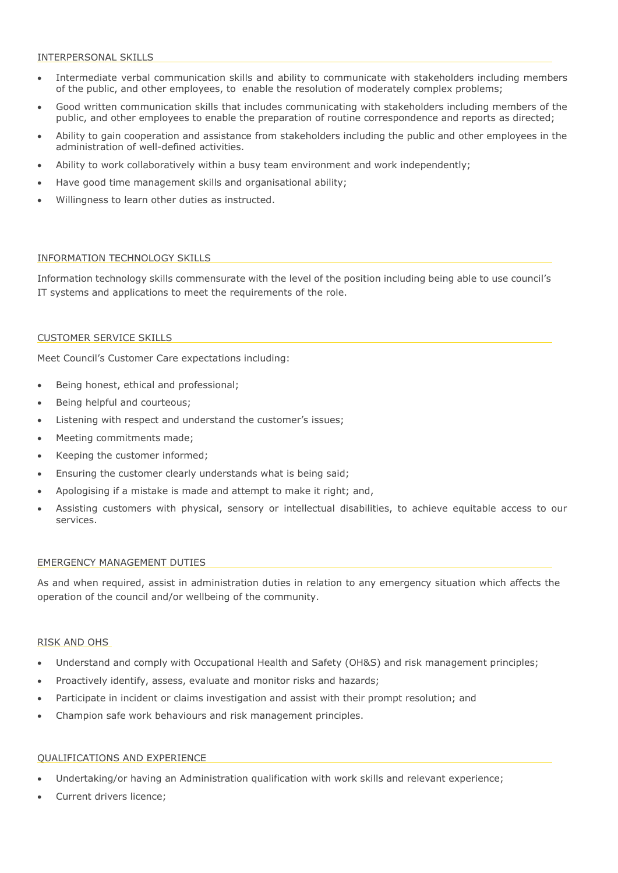#### INTERPERSONAL SKILLS

- Intermediate verbal communication skills and ability to communicate with stakeholders including members of the public, and other employees, to enable the resolution of moderately complex problems;
- Good written communication skills that includes communicating with stakeholders including members of the public, and other employees to enable the preparation of routine correspondence and reports as directed;
- Ability to gain cooperation and assistance from stakeholders including the public and other employees in the administration of well-defined activities.
- Ability to work collaboratively within a busy team environment and work independently;
- Have good time management skills and organisational ability;
- Willingness to learn other duties as instructed.

#### INFORMATION TECHNOLOGY SKILLS

Information technology skills commensurate with the level of the position including being able to use council's IT systems and applications to meet the requirements of the role.

#### CUSTOMER SERVICE SKILLS

Meet Council's Customer Care expectations including:

- Being honest, ethical and professional;
- Being helpful and courteous;
- Listening with respect and understand the customer's issues;
- Meeting commitments made;
- Keeping the customer informed;
- Ensuring the customer clearly understands what is being said;
- Apologising if a mistake is made and attempt to make it right; and,
- Assisting customers with physical, sensory or intellectual disabilities, to achieve equitable access to our services.

#### EMERGENCY MANAGEMENT DUTIES

As and when required, assist in administration duties in relation to any emergency situation which affects the operation of the council and/or wellbeing of the community.

#### RISK AND OHS

- Understand and comply with Occupational Health and Safety (OH&S) and risk management principles;
- Proactively identify, assess, evaluate and monitor risks and hazards;
- Participate in incident or claims investigation and assist with their prompt resolution; and
- Champion safe work behaviours and risk management principles.

### QUALIFICATIONS AND EXPERIENCE

- Undertaking/or having an Administration qualification with work skills and relevant experience;
- Current drivers licence;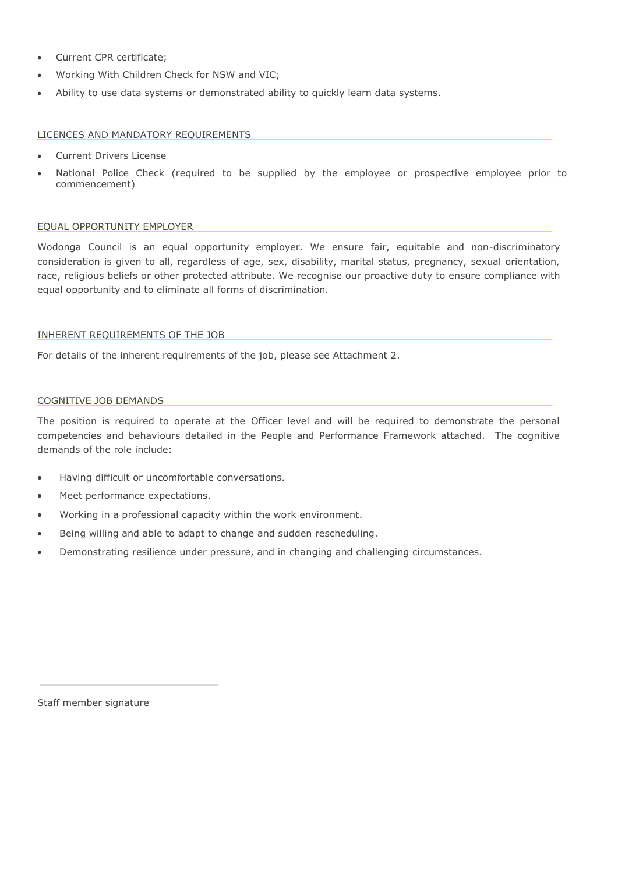- Current CPR certificate;
- Working With Children Check for NSW and VIC;
- Ability to use data systems or demonstrated ability to quickly learn data systems.

## LICENCES AND MANDATORY REQUIREMENTS

- Current Drivers License
- National Police Check (required to be supplied by the employee or prospective employee prior to commencement)

## EQUAL OPPORTUNITY EMPLOYER

Wodonga Council is an equal opportunity employer. We ensure fair, equitable and non-discriminatory consideration is given to all, regardless of age, sex, disability, marital status, pregnancy, sexual orientation, race, religious beliefs or other protected attribute. We recognise our proactive duty to ensure compliance with equal opportunity and to eliminate all forms of discrimination.

#### INHERENT REQUIREMENTS OF THE JOB

For details of the inherent requirements of the job, please see Attachment 2.

#### COGNITIVE JOB DEMANDS

The position is required to operate at the Officer level and will be required to demonstrate the personal competencies and behaviours detailed in the People and Performance Framework attached. The cognitive demands of the role include:

- Having difficult or uncomfortable conversations.
- Meet performance expectations.
- Working in a professional capacity within the work environment.
- Being willing and able to adapt to change and sudden rescheduling.
- Demonstrating resilience under pressure, and in changing and challenging circumstances.

Staff member signature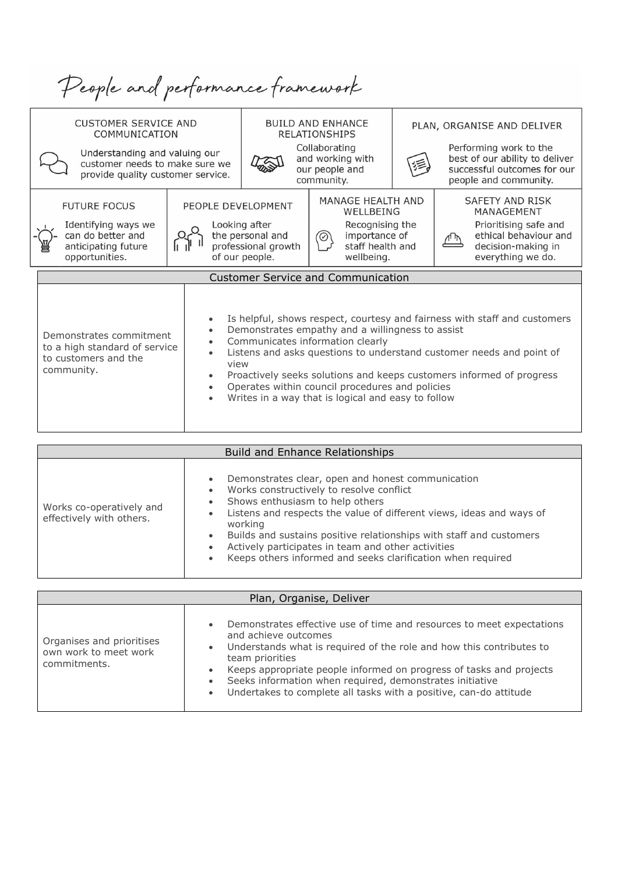| People and performance framework                                                                                                                                        |                                                                                       |                                                                            |                                                                                                                                                                                               |  |                                                                                                                                                                                                                           |  |  |
|-------------------------------------------------------------------------------------------------------------------------------------------------------------------------|---------------------------------------------------------------------------------------|----------------------------------------------------------------------------|-----------------------------------------------------------------------------------------------------------------------------------------------------------------------------------------------|--|---------------------------------------------------------------------------------------------------------------------------------------------------------------------------------------------------------------------------|--|--|
| <b>CUSTOMER SERVICE AND</b><br>COMMUNICATION<br>Understanding and valuing our                                                                                           | <b>BUILD AND ENHANCE</b><br><b>RELATIONSHIPS</b><br>Collaborating<br>and working with |                                                                            | PLAN, ORGANISE AND DELIVER<br>Performing work to the<br>best of our ability to deliver                                                                                                        |  |                                                                                                                                                                                                                           |  |  |
| customer needs to make sure we<br>provide quality customer service.                                                                                                     |                                                                                       | our people and<br>community.                                               |                                                                                                                                                                                               |  | successful outcomes for our<br>people and community.                                                                                                                                                                      |  |  |
| <b>FUTURE FOCUS</b><br>PEOPLE DEVELOPMENT<br>Identifying ways we<br>can do better and<br>anticipating future<br>opportunities.                                          |                                                                                       | Looking after<br>the personal and<br>professional growth<br>of our people. | MANAGE HEALTH AND<br>WELLBEING<br>Recognising the<br>importance of<br>$^\circledR$<br>staff health and<br>wellbeing.                                                                          |  | SAFETY AND RISK<br>MANAGEMENT<br>Prioritising safe and<br>ethical behaviour and<br>decision-making in<br>everything we do.                                                                                                |  |  |
|                                                                                                                                                                         |                                                                                       |                                                                            | <b>Customer Service and Communication</b>                                                                                                                                                     |  |                                                                                                                                                                                                                           |  |  |
| $\bullet$<br>Demonstrates commitment<br>$\bullet$<br>to a high standard of service<br>$\bullet$<br>to customers and the<br>view<br>community.<br>$\bullet$<br>$\bullet$ |                                                                                       |                                                                            | Demonstrates empathy and a willingness to assist<br>Communicates information clearly<br>Operates within council procedures and policies<br>Writes in a way that is logical and easy to follow |  | Is helpful, shows respect, courtesy and fairness with staff and customers<br>Listens and asks questions to understand customer needs and point of<br>Proactively seeks solutions and keeps customers informed of progress |  |  |

| <b>Build and Enhance Relationships</b>               |                                                                                                                                                                                                                                                                                                                                                                                                                                                                                  |  |  |  |
|------------------------------------------------------|----------------------------------------------------------------------------------------------------------------------------------------------------------------------------------------------------------------------------------------------------------------------------------------------------------------------------------------------------------------------------------------------------------------------------------------------------------------------------------|--|--|--|
| Works co-operatively and<br>effectively with others. | Demonstrates clear, open and honest communication<br>$\bullet$<br>Works constructively to resolve conflict<br>$\bullet$<br>Shows enthusiasm to help others<br>Listens and respects the value of different views, ideas and ways of<br>$\bullet$<br>working<br>Builds and sustains positive relationships with staff and customers<br>$\bullet$<br>Actively participates in team and other activities<br>$\bullet$<br>Keeps others informed and seeks clarification when required |  |  |  |

| Plan, Organise, Deliver                                            |                                                                                                                                                                                                                                                                                                                                                                                                                                                      |  |  |  |
|--------------------------------------------------------------------|------------------------------------------------------------------------------------------------------------------------------------------------------------------------------------------------------------------------------------------------------------------------------------------------------------------------------------------------------------------------------------------------------------------------------------------------------|--|--|--|
| Organises and prioritises<br>own work to meet work<br>commitments. | Demonstrates effective use of time and resources to meet expectations<br>$\bullet$<br>and achieve outcomes<br>Understands what is required of the role and how this contributes to<br>$\bullet$<br>team priorities<br>Keeps appropriate people informed on progress of tasks and projects<br>Seeks information when required, demonstrates initiative<br>$\bullet$<br>Undertakes to complete all tasks with a positive, can-do attitude<br>$\bullet$ |  |  |  |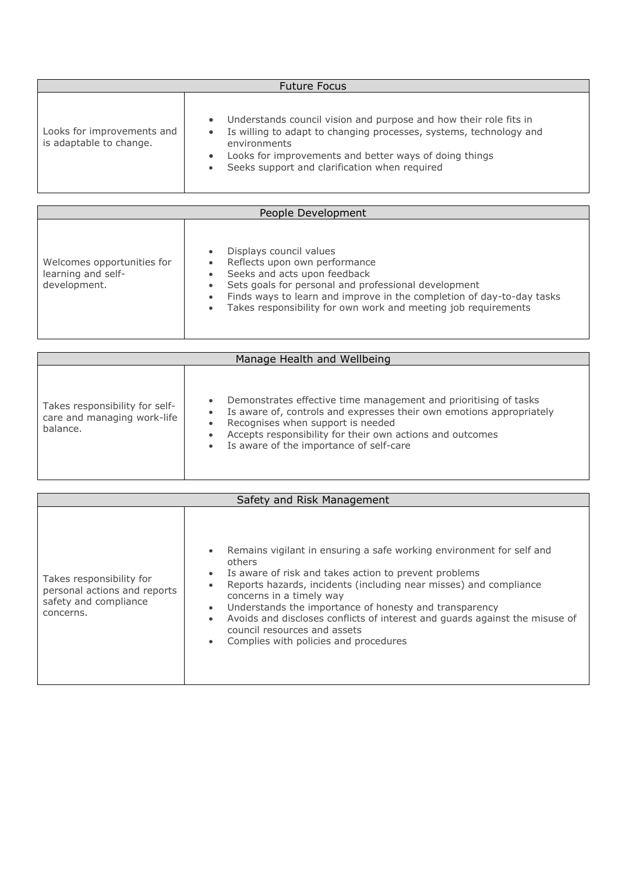| <b>Future Focus</b>                                   |                                                                                                                                                                                                                                                                                                                        |  |  |  |
|-------------------------------------------------------|------------------------------------------------------------------------------------------------------------------------------------------------------------------------------------------------------------------------------------------------------------------------------------------------------------------------|--|--|--|
| Looks for improvements and<br>is adaptable to change. | Understands council vision and purpose and how their role fits in<br>$\bullet$<br>Is willing to adapt to changing processes, systems, technology and<br>$\bullet$<br>environments<br>Looks for improvements and better ways of doing things<br>$\bullet$<br>Seeks support and clarification when required<br>$\bullet$ |  |  |  |

| People Development                                               |                                                                                                                                                                                                                                                                                                                                                              |  |  |  |
|------------------------------------------------------------------|--------------------------------------------------------------------------------------------------------------------------------------------------------------------------------------------------------------------------------------------------------------------------------------------------------------------------------------------------------------|--|--|--|
| Welcomes opportunities for<br>learning and self-<br>development. | Displays council values<br>$\bullet$<br>Reflects upon own performance<br>$\bullet$<br>Seeks and acts upon feedback<br>$\bullet$<br>Sets goals for personal and professional development<br>Finds ways to learn and improve in the completion of day-to-day tasks<br>$\bullet$<br>Takes responsibility for own work and meeting job requirements<br>$\bullet$ |  |  |  |

| Manage Health and Wellbeing                                               |                                                                                                                                                                                                                                                                                                                                   |  |  |  |
|---------------------------------------------------------------------------|-----------------------------------------------------------------------------------------------------------------------------------------------------------------------------------------------------------------------------------------------------------------------------------------------------------------------------------|--|--|--|
| Takes responsibility for self-<br>care and managing work-life<br>balance. | Demonstrates effective time management and prioritising of tasks<br>$\bullet$<br>Is aware of, controls and expresses their own emotions appropriately<br>$\bullet$<br>Recognises when support is needed<br>Accepts responsibility for their own actions and outcomes<br>۰<br>Is aware of the importance of self-care<br>$\bullet$ |  |  |  |

| Safety and Risk Management                                                                     |                                                                                                                                                                                                                                                                                                                                                                                                                                                                                                                                          |  |  |  |  |
|------------------------------------------------------------------------------------------------|------------------------------------------------------------------------------------------------------------------------------------------------------------------------------------------------------------------------------------------------------------------------------------------------------------------------------------------------------------------------------------------------------------------------------------------------------------------------------------------------------------------------------------------|--|--|--|--|
| Takes responsibility for<br>personal actions and reports<br>safety and compliance<br>concerns. | Remains vigilant in ensuring a safe working environment for self and<br>$\bullet$<br>others<br>Is aware of risk and takes action to prevent problems<br>$\bullet$<br>Reports hazards, incidents (including near misses) and compliance<br>$\bullet$<br>concerns in a timely way<br>Understands the importance of honesty and transparency<br>$\bullet$<br>Avoids and discloses conflicts of interest and quards against the misuse of<br>$\bullet$<br>council resources and assets<br>Complies with policies and procedures<br>$\bullet$ |  |  |  |  |